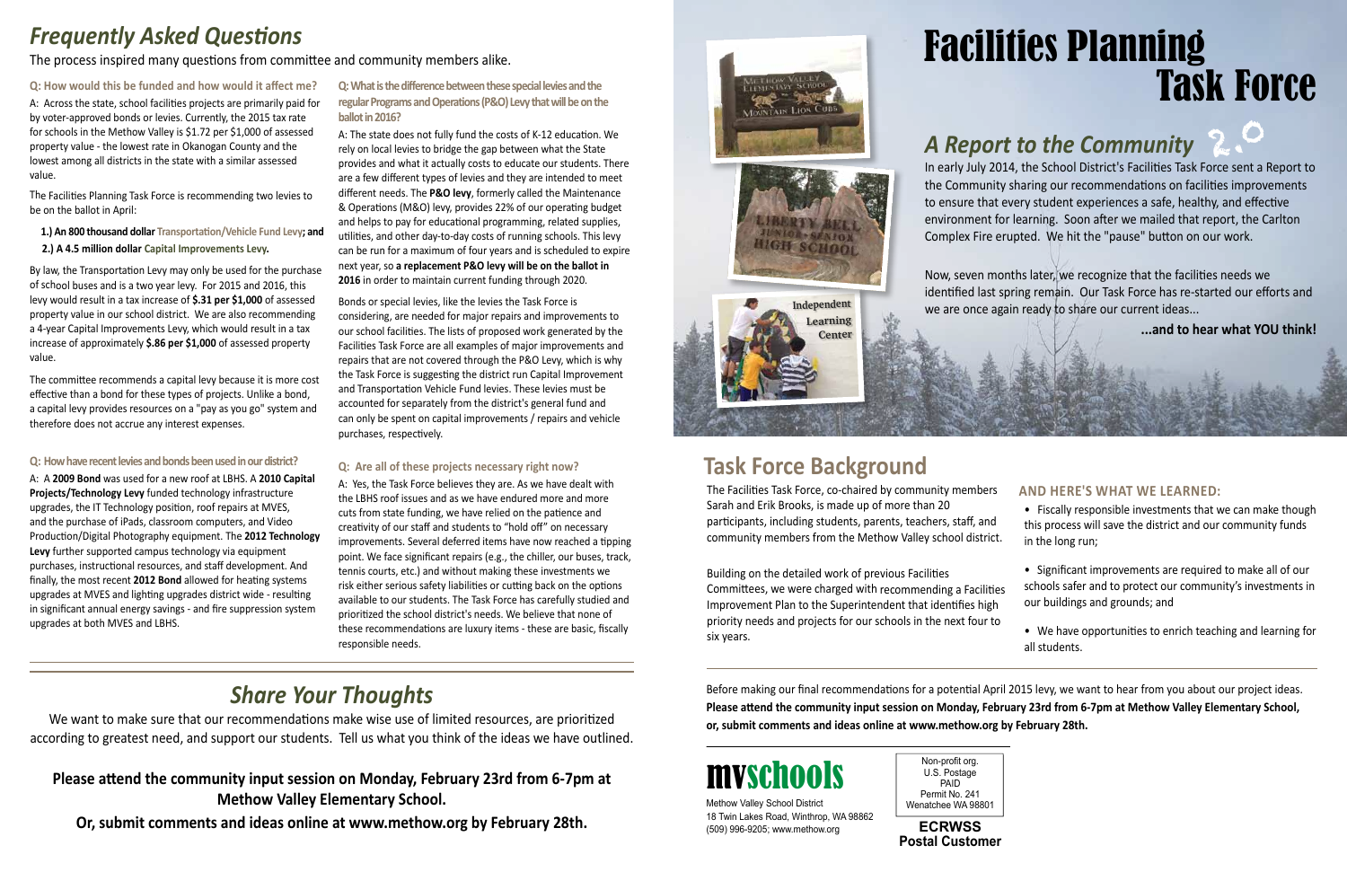Non-profit org. U.S. Postage PAID Permit No. 241

Methow Valley School District Wenatchee WA 98801 18 Twin Lakes Road, Winthrop, WA 98862 (509) 996-9205; www.methow.org

**Postal Customer ECRWSS**

# mvschools

# *Frequently Asked Questions*

The Facilities Task Force, co-chaired by community members Sarah and Erik Brooks, is made up of more than 20 participants, including students, parents, teachers, staff, and community members from the Methow Valley school district. **AND Here's what we learned:**  • Fiscally responsible investments that we can make though this process will save the district and our community funds in the long run;

Building on the detailed work of previous Facilities Committees, we were charged with recommending a Facilities Improvement Plan to the Superintendent that identifies high priority needs and projects for our schools in the next four to six years. • Significant improvements are required to make all of our schools safer and to protect our community's investments in our buildings and grounds; and • We have opportunities to enrich teaching and learning for all students.

**Q: How would this be funded and how would it affect me?**

A: Across the state, school facilities projects are primarily paid for by voter-approved bonds or levies. Currently, the 2015 tax rate for schools in the Methow Valley is \$1.72 per \$1,000 of assessed property value - the lowest rate in Okanogan County and the lowest among all districts in the state with a similar assessed value.

The Facilities Planning Task Force is recommending two levies to be on the ballot in April:

 **1.) An 800 thousand dollar Transportation/Vehicle Fund Levy; and 2.) A 4.5 million dollar Capital Improvements Levy.** 

By law, the Transportation Levy may only be used for the purchase of school buses and is a two year levy. For 2015 and 2016, this levy would result in a tax increase of **\$.31 per \$1,000** of assessed property value in our school district. We are also recommending a 4-year Capital Improvements Levy, which would result in a tax increase of approximately **\$.86 per \$1,000** of assessed property value.

The committee recommends a capital levy because it is more cost effective than a bond for these types of projects. Unlike a bond, a capital levy provides resources on a "pay as you go" system and therefore does not accrue any interest expenses.

## **Q: How have recent levies and bonds been used in our district?**

# Frequently Asked Questions<br>The process inspired many questions from committee and community members alike. Task Force

A: A **2009 Bond** was used for a new roof at LBHS. A **2010 Capital Projects/Technology Levy** funded technology infrastructure upgrades, the IT Technology position, roof repairs at MVES, and the purchase of iPads, classroom computers, and Video Production/Digital Photography equipment. The **2012 Technology Levy** further supported campus technology via equipment purchases, instructional resources, and staff development. And finally, the most recent **2012 Bond** allowed for heating systems upgrades at MVES and lighting upgrades district wide - resulting in significant annual energy savings - and fire suppression system upgrades at both MVES and LBHS.

## **Q: What is the difference between these special levies and the regular Programs and Operations (P&O) Levy that will be on the ballot in 2016?**

A: The state does not fully fund the costs of K-12 education. We rely on local levies to bridge the gap between what the State provides and what it actually costs to educate our students. There are a few different types of levies and they are intended to meet different needs. The **P&O levy**, formerly called the Maintenance & Operations (M&O) levy, provides 22% of our operating budget and helps to pay for educational programming, related supplies, utilities, and other day-to-day costs of running schools. This levy can be run for a maximum of four years and is scheduled to expire next year, so **a replacement P&O levy will be on the ballot in 2016** in order to maintain current funding through 2020.

Bonds or special levies, like the levies the Task Force is considering, are needed for major repairs and improvements to our school facilities. The lists of proposed work generated by the Facilities Task Force are all examples of major improvements and repairs that are not covered through the P&O Levy, which is why the Task Force is suggesting the district run Capital Improvement and Transportation Vehicle Fund levies. These levies must be accounted for separately from the district's general fund and can only be spent on capital improvements / repairs and vehicle purchases, respectively.

## **Q: Are all of these projects necessary right now?**

A: Yes, the Task Force believes they are. As we have dealt with the LBHS roof issues and as we have endured more and more cuts from state funding, we have relied on the patience and creativity of our staff and students to "hold off" on necessary improvements. Several deferred items have now reached a tipping point. We face significant repairs (e.g., the chiller, our buses, track, tennis courts, etc.) and without making these investments we risk either serious safety liabilities or cutting back on the options available to our students. The Task Force has carefully studied and prioritized the school district's needs. We believe that none of these recommendations are luxury items - these are basic, fiscally responsible needs.

# **Task Force Background**



Before making our final recommendations for a potential April 2015 levy, we want to hear from you about our project ideas. **Please attend the community input session on Monday, February 23rd from 6-7pm at Methow Valley Elementary School, or, submit comments and ideas online at www.methow.org by February 28th.**

# *Share Your Thoughts*

We want to make sure that our recommendations make wise use of limited resources, are prioritized according to greatest need, and support our students. Tell us what you think of the ideas we have outlined.

# **Please attend the community input session on Monday, February 23rd from 6-7pm at Methow Valley Elementary School.**

**Or, submit comments and ideas online at www.methow.org by February 28th.**





In early July 2014, the School District's Facilities Task Force sent a Report to the Community sharing our recommendations on facilities improvements to ensure that every student experiences a safe, healthy, and effective environment for learning. Soon after we mailed that report, the Carlton Complex Fire erupted. We hit the "pause" button on our work.

# *A Report to the Community* 2.0

Now, seven months later, we recognize that the facilities needs we identified last spring remain. Our Task Force has re-started our efforts and we are once again ready to share our current ideas...

### **...and to hear what YOU think!**